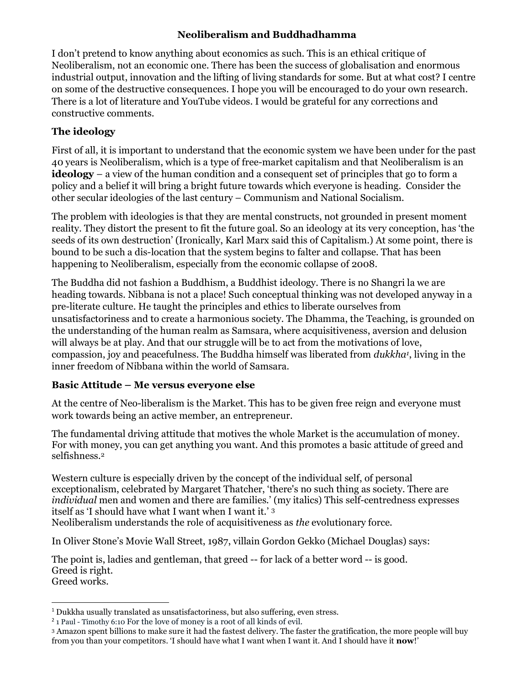## Neoliberalism and Buddhadhamma

I don't pretend to know anything about economics as such. This is an ethical critique of Neoliberalism, not an economic one. There has been the success of globalisation and enormous industrial output, innovation and the lifting of living standards for some. But at what cost? I centre on some of the destructive consequences. I hope you will be encouraged to do your own research. There is a lot of literature and YouTube videos. I would be grateful for any corrections and constructive comments.

# The ideology

First of all, it is important to understand that the economic system we have been under for the past 40 years is Neoliberalism, which is a type of free-market capitalism and that Neoliberalism is an **ideology** – a view of the human condition and a consequent set of principles that go to form a policy and a belief it will bring a bright future towards which everyone is heading. Consider the other secular ideologies of the last century – Communism and National Socialism.

The problem with ideologies is that they are mental constructs, not grounded in present moment reality. They distort the present to fit the future goal. So an ideology at its very conception, has 'the seeds of its own destruction' (Ironically, Karl Marx said this of Capitalism.) At some point, there is bound to be such a dis-location that the system begins to falter and collapse. That has been happening to Neoliberalism, especially from the economic collapse of 2008.

The Buddha did not fashion a Buddhism, a Buddhist ideology. There is no Shangri la we are heading towards. Nibbana is not a place! Such conceptual thinking was not developed anyway in a pre-literate culture. He taught the principles and ethics to liberate ourselves from unsatisfactoriness and to create a harmonious society. The Dhamma, the Teaching, is grounded on the understanding of the human realm as Samsara, where acquisitiveness, aversion and delusion will always be at play. And that our struggle will be to act from the motivations of love, compassion, joy and peacefulness. The Buddha himself was liberated from *dukkha<sup>1</sup>*, living in the inner freedom of Nibbana within the world of Samsara.

## Basic Attitude – Me versus everyone else

At the centre of Neo-liberalism is the Market. This has to be given free reign and everyone must work towards being an active member, an entrepreneur.

The fundamental driving attitude that motives the whole Market is the accumulation of money. For with money, you can get anything you want. And this promotes a basic attitude of greed and selfishness.<sup>2</sup>

Western culture is especially driven by the concept of the individual self, of personal exceptionalism, celebrated by Margaret Thatcher, 'there's no such thing as society. There are individual men and women and there are families.' (my italics) This self-centredness expresses itself as 'I should have what I want when I want it.' <sup>3</sup>

Neoliberalism understands the role of acquisitiveness as the evolutionary force.

In Oliver Stone's Movie Wall Street, 1987, villain Gordon Gekko (Michael Douglas) says:

The point is, ladies and gentleman, that greed -- for lack of a better word -- is good. Greed is right. Greed works.

<sup>1</sup> Dukkha usually translated as unsatisfactoriness, but also suffering, even stress.

<sup>2</sup> 1 Paul - Timothy 6:10 For the love of money is a root of all kinds of evil.

<sup>3</sup> Amazon spent billions to make sure it had the fastest delivery. The faster the gratification, the more people will buy from you than your competitors. 'I should have what I want when I want it. And I should have it now!'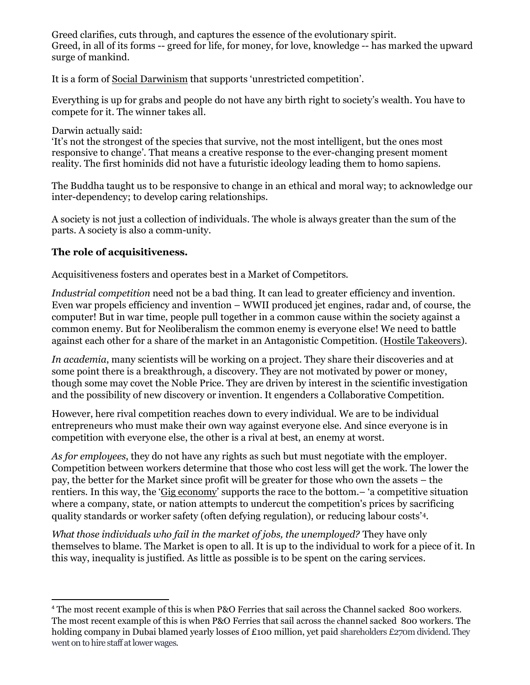Greed clarifies, cuts through, and captures the essence of the evolutionary spirit. Greed, in all of its forms -- greed for life, for money, for love, knowledge -- has marked the upward surge of mankind.

It is a form of Social Darwinism that supports 'unrestricted competition'.

Everything is up for grabs and people do not have any birth right to society's wealth. You have to compete for it. The winner takes all.

## Darwin actually said:

'It's not the strongest of the species that survive, not the most intelligent, but the ones most responsive to change'. That means a creative response to the ever-changing present moment reality. The first hominids did not have a futuristic ideology leading them to homo sapiens.

The Buddha taught us to be responsive to change in an ethical and moral way; to acknowledge our inter-dependency; to develop caring relationships.

A society is not just a collection of individuals. The whole is always greater than the sum of the parts. A society is also a comm-unity.

## The role of acquisitiveness.

Acquisitiveness fosters and operates best in a Market of Competitors.

Industrial competition need not be a bad thing. It can lead to greater efficiency and invention. Even war propels efficiency and invention – WWII produced jet engines, radar and, of course, the computer! But in war time, people pull together in a common cause within the society against a common enemy. But for Neoliberalism the common enemy is everyone else! We need to battle against each other for a share of the market in an Antagonistic Competition. (Hostile Takeovers).

In academia, many scientists will be working on a project. They share their discoveries and at some point there is a breakthrough, a discovery. They are not motivated by power or money, though some may covet the Noble Price. They are driven by interest in the scientific investigation and the possibility of new discovery or invention. It engenders a Collaborative Competition.

However, here rival competition reaches down to every individual. We are to be individual entrepreneurs who must make their own way against everyone else. And since everyone is in competition with everyone else, the other is a rival at best, an enemy at worst.

As for employees, they do not have any rights as such but must negotiate with the employer. Competition between workers determine that those who cost less will get the work. The lower the pay, the better for the Market since profit will be greater for those who own the assets – the rentiers. In this way, the 'Gig economy' supports the race to the bottom.– 'a competitive situation where a company, state, or nation attempts to undercut the competition's prices by sacrificing quality standards or worker safety (often defying regulation), or reducing labour costs'4.

What those individuals who fail in the market of jobs, the unemployed? They have only themselves to blame. The Market is open to all. It is up to the individual to work for a piece of it. In this way, inequality is justified. As little as possible is to be spent on the caring services.

<sup>4</sup> The most recent example of this is when P&O Ferries that sail across the Channel sacked 800 workers. The most recent example of this is when P&O Ferries that sail across the channel sacked 800 workers. The holding company in Dubai blamed yearly losses of £100 million, yet paid shareholders £270m dividend. They went on to hire staff at lower wages.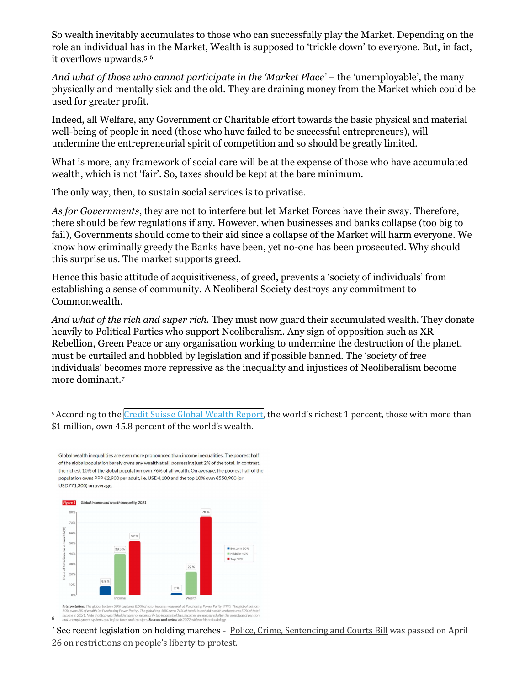So wealth inevitably accumulates to those who can successfully play the Market. Depending on the role an individual has in the Market, Wealth is supposed to 'trickle down' to everyone. But, in fact, it overflows upwards.<sup>5</sup> <sup>6</sup>

And what of those who cannot participate in the 'Market Place' – the 'unemployable', the many physically and mentally sick and the old. They are draining money from the Market which could be used for greater profit.

Indeed, all Welfare, any Government or Charitable effort towards the basic physical and material well-being of people in need (those who have failed to be successful entrepreneurs), will undermine the entrepreneurial spirit of competition and so should be greatly limited.

What is more, any framework of social care will be at the expense of those who have accumulated wealth, which is not 'fair'. So, taxes should be kept at the bare minimum.

The only way, then, to sustain social services is to privatise.

As for Governments, they are not to interfere but let Market Forces have their sway. Therefore, there should be few regulations if any. However, when businesses and banks collapse (too big to fail), Governments should come to their aid since a collapse of the Market will harm everyone. We know how criminally greedy the Banks have been, yet no-one has been prosecuted. Why should this surprise us. The market supports greed.

Hence this basic attitude of acquisitiveness, of greed, prevents a 'society of individuals' from establishing a sense of community. A Neoliberal Society destroys any commitment to Commonwealth.

And what of the rich and super rich. They must now guard their accumulated wealth. They donate heavily to Political Parties who support Neoliberalism. Any sign of opposition such as XR Rebellion, Green Peace or any organisation working to undermine the destruction of the planet, must be curtailed and hobbled by legislation and if possible banned. The 'society of free individuals' becomes more repressive as the inequality and injustices of Neoliberalism become more dominant.<sup>7</sup>

<sup>5</sup> According to the Credit Suisse Global Wealth Report, the world's richest 1 percent, those with more than \$1 million, own 45.8 percent of the world's wealth.

Global wealth inequalities are even more pronounced than income inequalities. The poorest half of the global population barely owns any wealth at all, possessing just 2% of the total. In contrast, the richest 10% of the global population own 76% of all wealth. On average, the poorest half of the population owns PPP €2,900 per adult, i.e. USD4,100 and the top 10% own €550,900 (or USD771.300) on average.



<sup>7</sup> See recent legislation on holding marches - Police, Crime, Sentencing and Courts Bill was passed on April 26 on restrictions on people's liberty to protest.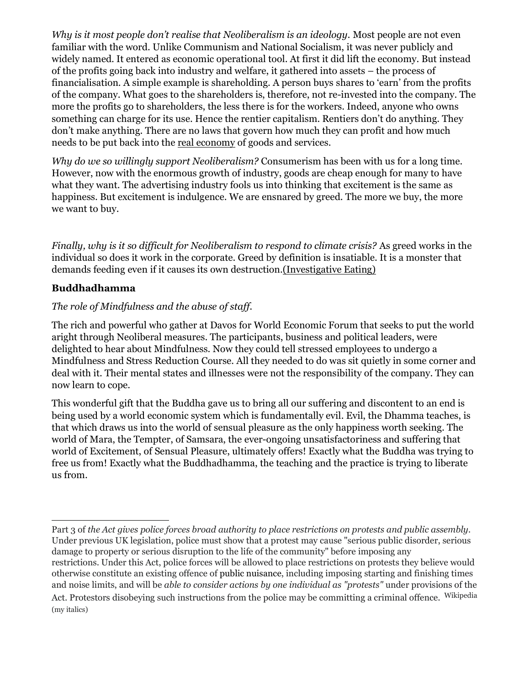Why is it most people don't realise that Neoliberalism is an ideology. Most people are not even familiar with the word. Unlike Communism and National Socialism, it was never publicly and widely named. It entered as economic operational tool. At first it did lift the economy. But instead of the profits going back into industry and welfare, it gathered into assets – the process of financialisation. A simple example is shareholding. A person buys shares to 'earn' from the profits of the company. What goes to the shareholders is, therefore, not re-invested into the company. The more the profits go to shareholders, the less there is for the workers. Indeed, anyone who owns something can charge for its use. Hence the rentier capitalism. Rentiers don't do anything. They don't make anything. There are no laws that govern how much they can profit and how much needs to be put back into the real economy of goods and services.

Why do we so willingly support Neoliberalism? Consumerism has been with us for a long time. However, now with the enormous growth of industry, goods are cheap enough for many to have what they want. The advertising industry fools us into thinking that excitement is the same as happiness. But excitement is indulgence. We are ensnared by greed. The more we buy, the more we want to buy.

Finally, why is it so difficult for Neoliberalism to respond to climate crisis? As greed works in the individual so does it work in the corporate. Greed by definition is insatiable. It is a monster that demands feeding even if it causes its own destruction.(Investigative Eating)

## Buddhadhamma

## The role of Mindfulness and the abuse of staff.

The rich and powerful who gather at Davos for World Economic Forum that seeks to put the world aright through Neoliberal measures. The participants, business and political leaders, were delighted to hear about Mindfulness. Now they could tell stressed employees to undergo a Mindfulness and Stress Reduction Course. All they needed to do was sit quietly in some corner and deal with it. Their mental states and illnesses were not the responsibility of the company. They can now learn to cope.

This wonderful gift that the Buddha gave us to bring all our suffering and discontent to an end is being used by a world economic system which is fundamentally evil. Evil, the Dhamma teaches, is that which draws us into the world of sensual pleasure as the only happiness worth seeking. The world of Mara, the Tempter, of Samsara, the ever-ongoing unsatisfactoriness and suffering that world of Excitement, of Sensual Pleasure, ultimately offers! Exactly what the Buddha was trying to free us from! Exactly what the Buddhadhamma, the teaching and the practice is trying to liberate us from.

Part 3 of the Act gives police forces broad authority to place restrictions on protests and public assembly. Under previous UK legislation, police must show that a protest may cause "serious public disorder, serious damage to property or serious disruption to the life of the community" before imposing any restrictions. Under this Act, police forces will be allowed to place restrictions on protests they believe would otherwise constitute an existing offence of public nuisance, including imposing starting and finishing times and noise limits, and will be able to consider actions by one individual as "protests" under provisions of the Act. Protestors disobeying such instructions from the police may be committing a criminal offence. Wikipedia (my italics)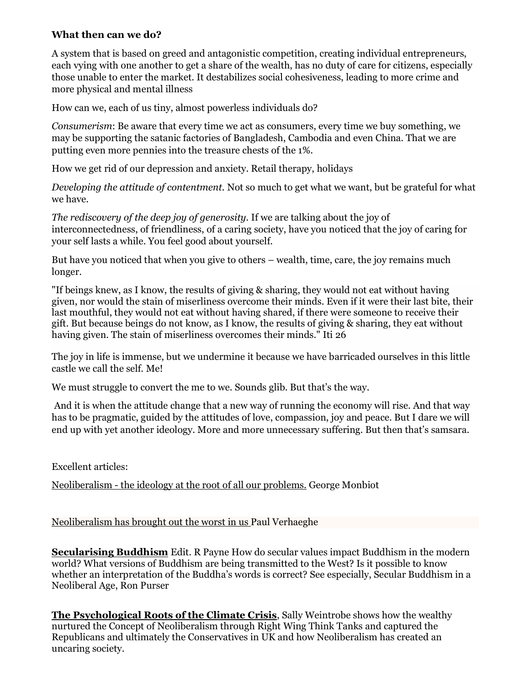## What then can we do?

A system that is based on greed and antagonistic competition, creating individual entrepreneurs, each vying with one another to get a share of the wealth, has no duty of care for citizens, especially those unable to enter the market. It destabilizes social cohesiveness, leading to more crime and more physical and mental illness

How can we, each of us tiny, almost powerless individuals do?

Consumerism: Be aware that every time we act as consumers, every time we buy something, we may be supporting the satanic factories of Bangladesh, Cambodia and even China. That we are putting even more pennies into the treasure chests of the 1%.

How we get rid of our depression and anxiety. Retail therapy, holidays

Developing the attitude of contentment. Not so much to get what we want, but be grateful for what we have.

The rediscovery of the deep joy of generosity. If we are talking about the joy of interconnectedness, of friendliness, of a caring society, have you noticed that the joy of caring for your self lasts a while. You feel good about yourself.

But have you noticed that when you give to others – wealth, time, care, the joy remains much longer.

"If beings knew, as I know, the results of giving & sharing, they would not eat without having given, nor would the stain of miserliness overcome their minds. Even if it were their last bite, their last mouthful, they would not eat without having shared, if there were someone to receive their gift. But because beings do not know, as I know, the results of giving & sharing, they eat without having given. The stain of miserliness overcomes their minds." Iti 26

The joy in life is immense, but we undermine it because we have barricaded ourselves in this little castle we call the self. Me!

We must struggle to convert the me to we. Sounds glib. But that's the way.

 And it is when the attitude change that a new way of running the economy will rise. And that way has to be pragmatic, guided by the attitudes of love, compassion, joy and peace. But I dare we will end up with yet another ideology. More and more unnecessary suffering. But then that's samsara.

Excellent articles:

Neoliberalism - the ideology at the root of all our problems. George Monbiot

Neoliberalism has brought out the worst in us Paul Verhaeghe

Secularising Buddhism Edit. R Payne How do secular values impact Buddhism in the modern world? What versions of Buddhism are being transmitted to the West? Is it possible to know whether an interpretation of the Buddha's words is correct? See especially, Secular Buddhism in a Neoliberal Age, Ron Purser

The Psychological Roots of the Climate Crisis, Sally Weintrobe shows how the wealthy nurtured the Concept of Neoliberalism through Right Wing Think Tanks and captured the Republicans and ultimately the Conservatives in UK and how Neoliberalism has created an uncaring society.